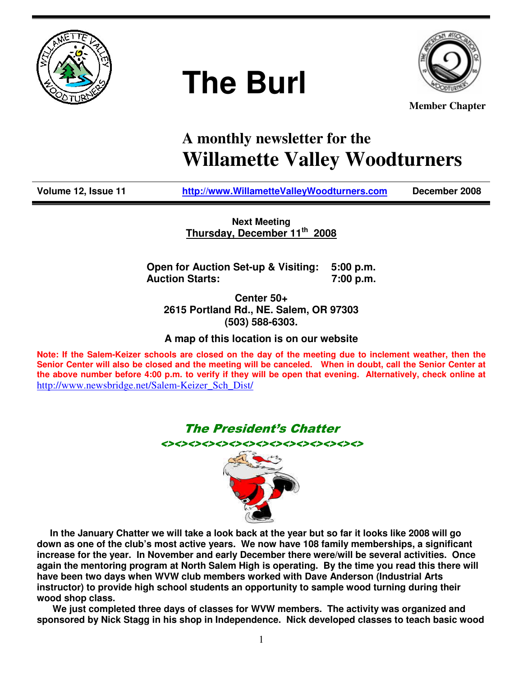

# **The Burl**



**Member Chapter**

## **A monthly newsletter for the Willamette Valley Woodturners**

**Volume 12, Issue 11 http://www.WillametteValleyWoodturners.com December 2008** 

**Next Meeting Thursday, December 11th 2008**

**Open for Auction Set-up & Visiting: 5:00 p.m. Auction Starts: 7:00 p.m.** 

**Center 50+ 2615 Portland Rd., NE. Salem, OR 97303 (503) 588-6303.** 

**A map of this location is on our website** 

**Note: If the Salem-Keizer schools are closed on the day of the meeting due to inclement weather, then the Senior Center will also be closed and the meeting will be canceled. When in doubt, call the Senior Center at the above number before 4:00 p.m. to verify if they will be open that evening. Alternatively, check online at**  http://www.newsbridge.net/Salem-Keizer\_Sch\_Dist/

The President's Chatter



 **In the January Chatter we will take a look back at the year but so far it looks like 2008 will go down as one of the club's most active years. We now have 108 family memberships, a significant increase for the year. In November and early December there were/will be several activities. Once again the mentoring program at North Salem High is operating. By the time you read this there will have been two days when WVW club members worked with Dave Anderson (Industrial Arts instructor) to provide high school students an opportunity to sample wood turning during their wood shop class.** 

 **We just completed three days of classes for WVW members. The activity was organized and sponsored by Nick Stagg in his shop in Independence. Nick developed classes to teach basic wood**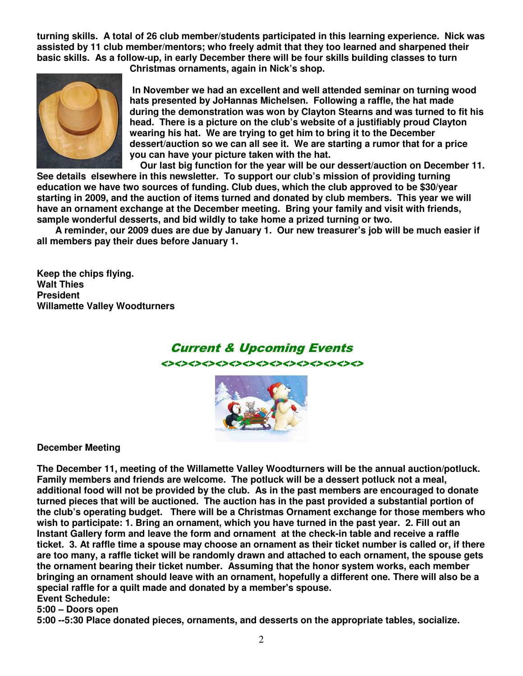**turning skills. A total of 26 club member/students participated in this learning experience. Nick was assisted by 11 club member/mentors; who freely admit that they too learned and sharpened their basic skills. As a follow-up, in early December there will be four skills building classes to turn** 



**Christmas ornaments, again in Nick's shop.** 

 **In November we had an excellent and well attended seminar on turning wood hats presented by JoHannas Michelsen. Following a raffle, the hat made during the demonstration was won by Clayton Stearns and was turned to fit his head. There is a picture on the club's website of a justifiably proud Clayton wearing his hat. We are trying to get him to bring it to the December dessert/auction so we can all see it. We are starting a rumor that for a price you can have your picture taken with the hat.** 

 **Our last big function for the year will be our dessert/auction on December 11. See details elsewhere in this newsletter. To support our club's mission of providing turning education we have two sources of funding. Club dues, which the club approved to be \$30/year starting in 2009, and the auction of items turned and donated by club members. This year we will have an ornament exchange at the December meeting. Bring your family and visit with friends, sample wonderful desserts, and bid wildly to take home a prized turning or two.** 

 **A reminder, our 2009 dues are due by January 1. Our new treasurer's job will be much easier if all members pay their dues before January 1.** 

**Keep the chips flying. Walt Thies President Willamette Valley Woodturners** 

## Current & Upcoming Events <><><><><><><><><><><><><><><>



**December Meeting** 

**The December 11, meeting of the Willamette Valley Woodturners will be the annual auction/potluck. Family members and friends are welcome. The potluck will be a dessert potluck not a meal, additional food will not be provided by the club. As in the past members are encouraged to donate turned pieces that will be auctioned. The auction has in the past provided a substantial portion of the club's operating budget. There will be a Christmas Ornament exchange for those members who wish to participate: 1. Bring an ornament, which you have turned in the past year. 2. Fill out an Instant Gallery form and leave the form and ornament at the check-in table and receive a raffle ticket. 3. At raffle time a spouse may choose an ornament as their ticket number is called or, if there are too many, a raffle ticket will be randomly drawn and attached to each ornament, the spouse gets the ornament bearing their ticket number. Assuming that the honor system works, each member bringing an ornament should leave with an ornament, hopefully a different one. There will also be a special raffle for a quilt made and donated by a member's spouse.** 

## **Event Schedule:**

**5:00 – Doors open** 

**5:00 --5:30 Place donated pieces, ornaments, and desserts on the appropriate tables, socialize.**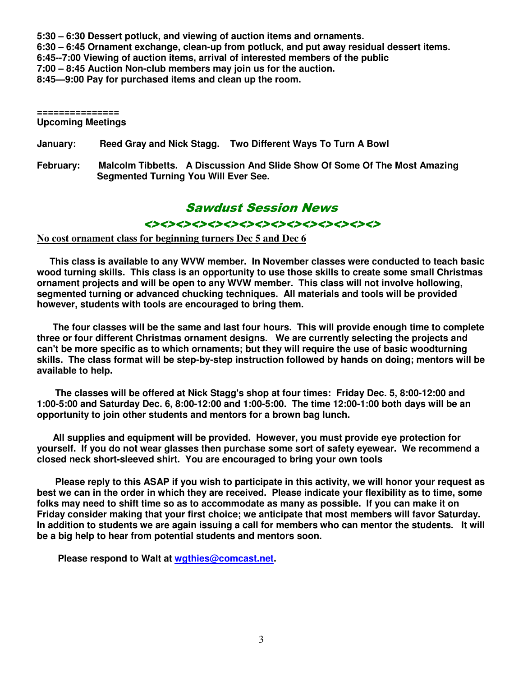**5:30 – 6:30 Dessert potluck, and viewing of auction items and ornaments. 6:30 – 6:45 Ornament exchange, clean-up from potluck, and put away residual dessert items. 6:45--7:00 Viewing of auction items, arrival of interested members of the public 7:00 – 8:45 Auction Non-club members may join us for the auction. 8:45—9:00 Pay for purchased items and clean up the room.** 

#### **=============== Upcoming Meetings**

**January: Reed Gray and Nick Stagg. Two Different Ways To Turn A Bowl** 

**February: Malcolm Tibbetts. A Discussion And Slide Show Of Some Of The Most Amazing Segmented Turning You Will Ever See.** 

## Sawdust Session News

#### <><><><><><><><><><><><><><><>

#### **No cost ornament class for beginning turners Dec 5 and Dec 6**

 **This class is available to any WVW member. In November classes were conducted to teach basic wood turning skills. This class is an opportunity to use those skills to create some small Christmas ornament projects and will be open to any WVW member. This class will not involve hollowing, segmented turning or advanced chucking techniques. All materials and tools will be provided however, students with tools are encouraged to bring them.** 

 **The four classes will be the same and last four hours. This will provide enough time to complete three or four different Christmas ornament designs. We are currently selecting the projects and can't be more specific as to which ornaments; but they will require the use of basic woodturning skills. The class format will be step-by-step instruction followed by hands on doing; mentors will be available to help.** 

 **The classes will be offered at Nick Stagg's shop at four times: Friday Dec. 5, 8:00-12:00 and 1:00-5:00 and Saturday Dec. 6, 8:00-12:00 and 1:00-5:00. The time 12:00-1:00 both days will be an opportunity to join other students and mentors for a brown bag lunch.** 

 **All supplies and equipment will be provided. However, you must provide eye protection for yourself. If you do not wear glasses then purchase some sort of safety eyewear. We recommend a closed neck short-sleeved shirt. You are encouraged to bring your own tools** 

 **Please reply to this ASAP if you wish to participate in this activity, we will honor your request as best we can in the order in which they are received. Please indicate your flexibility as to time, some folks may need to shift time so as to accommodate as many as possible. If you can make it on Friday consider making that your first choice; we anticipate that most members will favor Saturday. In addition to students we are again issuing a call for members who can mentor the students. It will be a big help to hear from potential students and mentors soon.** 

 **Please respond to Walt at wgthies@comcast.net.**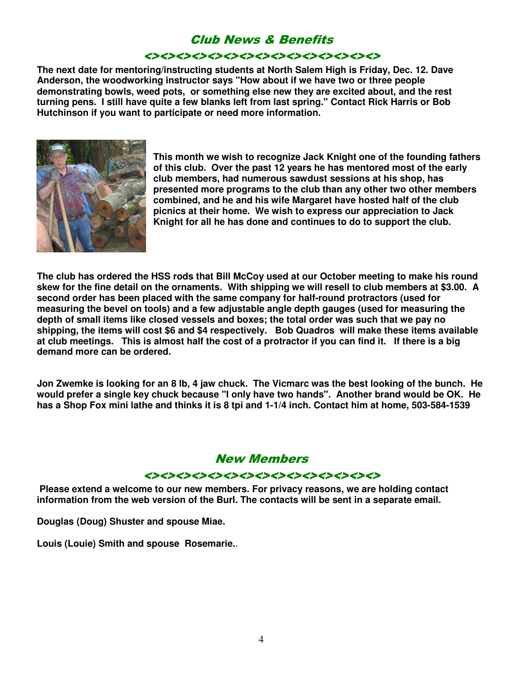## Club News & Benefits

#### <><><><><><><><><><><><><><><>

**The next date for mentoring/instructing students at North Salem High is Friday, Dec. 12. Dave Anderson, the woodworking instructor says "How about if we have two or three people demonstrating bowls, weed pots, or something else new they are excited about, and the rest turning pens. I still have quite a few blanks left from last spring." Contact Rick Harris or Bob Hutchinson if you want to participate or need more information.** 



**This month we wish to recognize Jack Knight one of the founding fathers of this club. Over the past 12 years he has mentored most of the early club members, had numerous sawdust sessions at his shop, has presented more programs to the club than any other two other members combined, and he and his wife Margaret have hosted half of the club picnics at their home. We wish to express our appreciation to Jack Knight for all he has done and continues to do to support the club.** 

**The club has ordered the HSS rods that Bill McCoy used at our October meeting to make his round skew for the fine detail on the ornaments. With shipping we will resell to club members at \$3.00. A second order has been placed with the same company for half-round protractors (used for measuring the bevel on tools) and a few adjustable angle depth gauges (used for measuring the depth of small items like closed vessels and boxes; the total order was such that we pay no shipping, the items will cost \$6 and \$4 respectively. Bob Quadros will make these items available at club meetings. This is almost half the cost of a protractor if you can find it. If there is a big demand more can be ordered.** 

**Jon Zwemke is looking for an 8 lb, 4 jaw chuck. The Vicmarc was the best looking of the bunch. He would prefer a single key chuck because "I only have two hands". Another brand would be OK. He has a Shop Fox mini lathe and thinks it is 8 tpi and 1-1/4 inch. Contact him at home, 503-584-1539**

### New Members

#### <><><><><><><><><><><><><><><>

 **Please extend a welcome to our new members. For privacy reasons, we are holding contact information from the web version of the Burl. The contacts will be sent in a separate email.** 

**Douglas (Doug) Shuster and spouse Miae.** 

**Louis (Louie) Smith and spouse Rosemarie.**.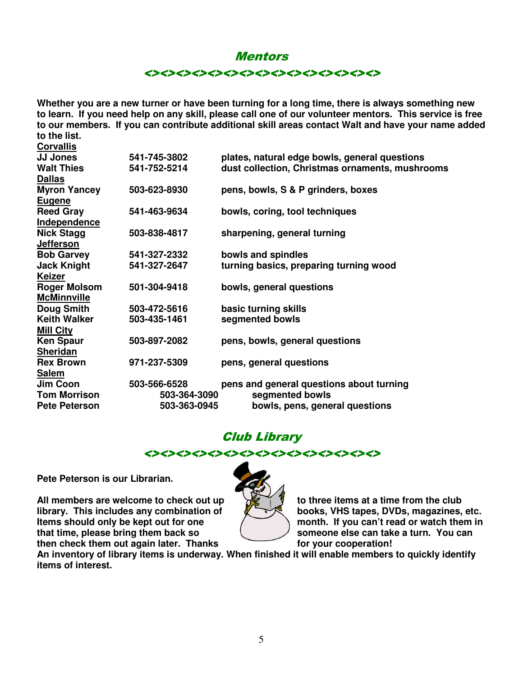#### **Mentors**

<><><><><><><><><><><><><><><>

**Whether you are a new turner or have been turning for a long time, there is always something new to learn. If you need help on any skill, please call one of our volunteer mentors. This service is free to our members. If you can contribute additional skill areas contact Walt and have your name added to the list.** 

| <b>Corvallis</b>     |              |                                                 |  |
|----------------------|--------------|-------------------------------------------------|--|
| <b>JJ Jones</b>      | 541-745-3802 | plates, natural edge bowls, general questions   |  |
| <b>Walt Thies</b>    | 541-752-5214 | dust collection, Christmas ornaments, mushrooms |  |
| <b>Dallas</b>        |              |                                                 |  |
| <b>Myron Yancey</b>  | 503-623-8930 | pens, bowls, S & P grinders, boxes              |  |
| <b>Eugene</b>        |              |                                                 |  |
| <b>Reed Gray</b>     | 541-463-9634 | bowls, coring, tool techniques                  |  |
| Independence         |              |                                                 |  |
| <b>Nick Stagg</b>    | 503-838-4817 | sharpening, general turning                     |  |
| <b>Jefferson</b>     |              |                                                 |  |
| <b>Bob Garvey</b>    | 541-327-2332 | bowls and spindles                              |  |
| <b>Jack Knight</b>   | 541-327-2647 | turning basics, preparing turning wood          |  |
| <b>Keizer</b>        |              |                                                 |  |
| <b>Roger Molsom</b>  | 501-304-9418 | bowls, general questions                        |  |
| <b>McMinnville</b>   |              |                                                 |  |
| <b>Doug Smith</b>    | 503-472-5616 | basic turning skills                            |  |
| <b>Keith Walker</b>  | 503-435-1461 | segmented bowls                                 |  |
| <b>Mill City</b>     |              |                                                 |  |
| <b>Ken Spaur</b>     | 503-897-2082 | pens, bowls, general questions                  |  |
| <b>Sheridan</b>      |              |                                                 |  |
| <b>Rex Brown</b>     | 971-237-5309 | pens, general questions                         |  |
| <b>Salem</b>         |              |                                                 |  |
| Jim Coon             | 503-566-6528 | pens and general questions about turning        |  |
| <b>Tom Morrison</b>  | 503-364-3090 | segmented bowls                                 |  |
| <b>Pete Peterson</b> | 503-363-0945 | bowls, pens, general questions                  |  |

## Club Library



**Pete Peterson is our Librarian.** 

All members are welcome to check out up **the set of the set of three items at a time from the club**<br>**All members are welcome to check out up the set of three items at a time from the club**<br>books, VHS tapes, DVDs, magazin **library. This includes any combination of Items should only be kept out for one that time, please bring them back so detail that is someone else can take a turn. You can** then check them out again later. Thanks for your cooperation!



**It would can't read or watch them in** 

**An inventory of library items is underway. When finished it will enable members to quickly identify items of interest.**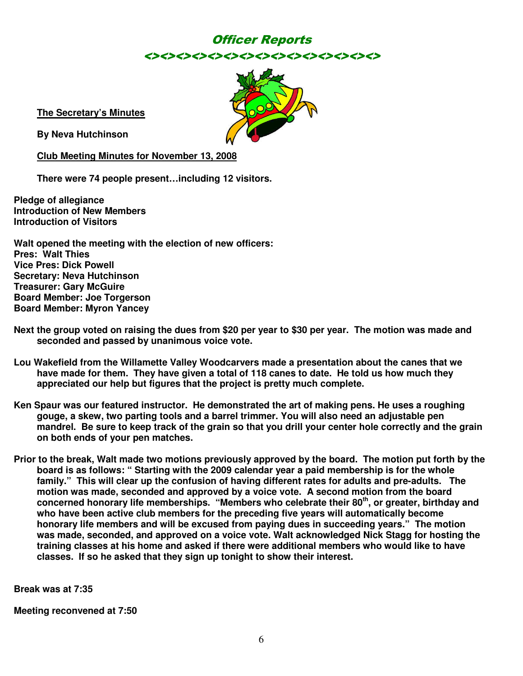## Officer Reports <><><><><><><><><><><><><><><>



**The Secretary's Minutes**

**By Neva Hutchinson** 

**Club Meeting Minutes for November 13, 2008**

**There were 74 people present…including 12 visitors.** 

**Pledge of allegiance Introduction of New Members Introduction of Visitors** 

**Walt opened the meeting with the election of new officers: Pres: Walt Thies Vice Pres: Dick Powell Secretary: Neva Hutchinson Treasurer: Gary McGuire Board Member: Joe Torgerson Board Member: Myron Yancey** 

- **Next the group voted on raising the dues from \$20 per year to \$30 per year. The motion was made and seconded and passed by unanimous voice vote.**
- **Lou Wakefield from the Willamette Valley Woodcarvers made a presentation about the canes that we have made for them. They have given a total of 118 canes to date. He told us how much they appreciated our help but figures that the project is pretty much complete.**
- **Ken Spaur was our featured instructor. He demonstrated the art of making pens. He uses a roughing gouge, a skew, two parting tools and a barrel trimmer. You will also need an adjustable pen mandrel. Be sure to keep track of the grain so that you drill your center hole correctly and the grain on both ends of your pen matches.**
- **Prior to the break, Walt made two motions previously approved by the board. The motion put forth by the board is as follows: " Starting with the 2009 calendar year a paid membership is for the whole family." This will clear up the confusion of having different rates for adults and pre-adults. The motion was made, seconded and approved by a voice vote. A second motion from the board concerned honorary life memberships. "Members who celebrate their 80th, or greater, birthday and who have been active club members for the preceding five years will automatically become honorary life members and will be excused from paying dues in succeeding years." The motion was made, seconded, and approved on a voice vote. Walt acknowledged Nick Stagg for hosting the training classes at his home and asked if there were additional members who would like to have classes. If so he asked that they sign up tonight to show their interest.**

**Break was at 7:35** 

**Meeting reconvened at 7:50**